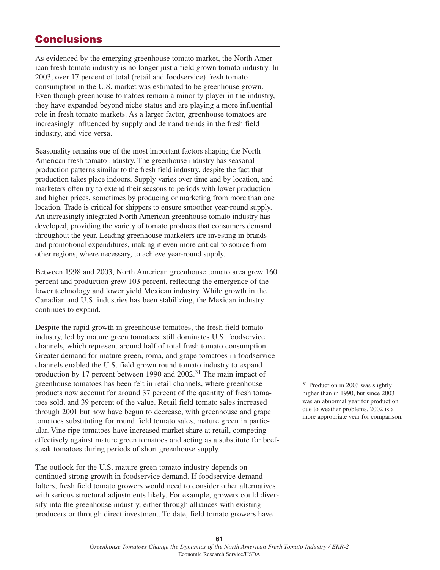# **Conclusions**

As evidenced by the emerging greenhouse tomato market, the North American fresh tomato industry is no longer just a field grown tomato industry. In 2003, over 17 percent of total (retail and foodservice) fresh tomato consumption in the U.S. market was estimated to be greenhouse grown. Even though greenhouse tomatoes remain a minority player in the industry, they have expanded beyond niche status and are playing a more influential role in fresh tomato markets. As a larger factor, greenhouse tomatoes are increasingly influenced by supply and demand trends in the fresh field industry, and vice versa.

Seasonality remains one of the most important factors shaping the North American fresh tomato industry. The greenhouse industry has seasonal production patterns similar to the fresh field industry, despite the fact that production takes place indoors. Supply varies over time and by location, and marketers often try to extend their seasons to periods with lower production and higher prices, sometimes by producing or marketing from more than one location. Trade is critical for shippers to ensure smoother year-round supply. An increasingly integrated North American greenhouse tomato industry has developed, providing the variety of tomato products that consumers demand throughout the year. Leading greenhouse marketers are investing in brands and promotional expenditures, making it even more critical to source from other regions, where necessary, to achieve year-round supply.

Between 1998 and 2003, North American greenhouse tomato area grew 160 percent and production grew 103 percent, reflecting the emergence of the lower technology and lower yield Mexican industry. While growth in the Canadian and U.S. industries has been stabilizing, the Mexican industry continues to expand.

Despite the rapid growth in greenhouse tomatoes, the fresh field tomato industry, led by mature green tomatoes, still dominates U.S. foodservice channels, which represent around half of total fresh tomato consumption. Greater demand for mature green, roma, and grape tomatoes in foodservice channels enabled the U.S. field grown round tomato industry to expand production by 17 percent between 1990 and 2002.<sup>31</sup> The main impact of greenhouse tomatoes has been felt in retail channels, where greenhouse products now account for around 37 percent of the quantity of fresh tomatoes sold, and 39 percent of the value. Retail field tomato sales increased through 2001 but now have begun to decrease, with greenhouse and grape tomatoes substituting for round field tomato sales, mature green in particular. Vine ripe tomatoes have increased market share at retail, competing effectively against mature green tomatoes and acting as a substitute for beefsteak tomatoes during periods of short greenhouse supply.

The outlook for the U.S. mature green tomato industry depends on continued strong growth in foodservice demand. If foodservice demand falters, fresh field tomato growers would need to consider other alternatives, with serious structural adjustments likely. For example, growers could diversify into the greenhouse industry, either through alliances with existing producers or through direct investment. To date, field tomato growers have

<sup>31</sup> Production in 2003 was slightly higher than in 1990, but since 2003 was an abnormal year for production due to weather problems, 2002 is a more appropriate year for comparison.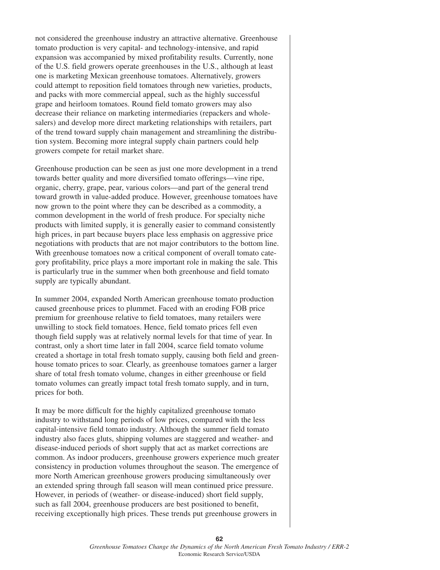not considered the greenhouse industry an attractive alternative. Greenhouse tomato production is very capital- and technology-intensive, and rapid expansion was accompanied by mixed profitability results. Currently, none of the U.S. field growers operate greenhouses in the U.S., although at least one is marketing Mexican greenhouse tomatoes. Alternatively, growers could attempt to reposition field tomatoes through new varieties, products, and packs with more commercial appeal, such as the highly successful grape and heirloom tomatoes. Round field tomato growers may also decrease their reliance on marketing intermediaries (repackers and wholesalers) and develop more direct marketing relationships with retailers, part of the trend toward supply chain management and streamlining the distribution system. Becoming more integral supply chain partners could help growers compete for retail market share.

Greenhouse production can be seen as just one more development in a trend towards better quality and more diversified tomato offerings—vine ripe, organic, cherry, grape, pear, various colors—and part of the general trend toward growth in value-added produce. However, greenhouse tomatoes have now grown to the point where they can be described as a commodity, a common development in the world of fresh produce. For specialty niche products with limited supply, it is generally easier to command consistently high prices, in part because buyers place less emphasis on aggressive price negotiations with products that are not major contributors to the bottom line. With greenhouse tomatoes now a critical component of overall tomato category profitability, price plays a more important role in making the sale. This is particularly true in the summer when both greenhouse and field tomato supply are typically abundant.

In summer 2004, expanded North American greenhouse tomato production caused greenhouse prices to plummet. Faced with an eroding FOB price premium for greenhouse relative to field tomatoes, many retailers were unwilling to stock field tomatoes. Hence, field tomato prices fell even though field supply was at relatively normal levels for that time of year. In contrast, only a short time later in fall 2004, scarce field tomato volume created a shortage in total fresh tomato supply, causing both field and greenhouse tomato prices to soar. Clearly, as greenhouse tomatoes garner a larger share of total fresh tomato volume, changes in either greenhouse or field tomato volumes can greatly impact total fresh tomato supply, and in turn, prices for both.

It may be more difficult for the highly capitalized greenhouse tomato industry to withstand long periods of low prices, compared with the less capital-intensive field tomato industry. Although the summer field tomato industry also faces gluts, shipping volumes are staggered and weather- and disease-induced periods of short supply that act as market corrections are common. As indoor producers, greenhouse growers experience much greater consistency in production volumes throughout the season. The emergence of more North American greenhouse growers producing simultaneously over an extended spring through fall season will mean continued price pressure. However, in periods of (weather- or disease-induced) short field supply, such as fall 2004, greenhouse producers are best positioned to benefit, receiving exceptionally high prices. These trends put greenhouse growers in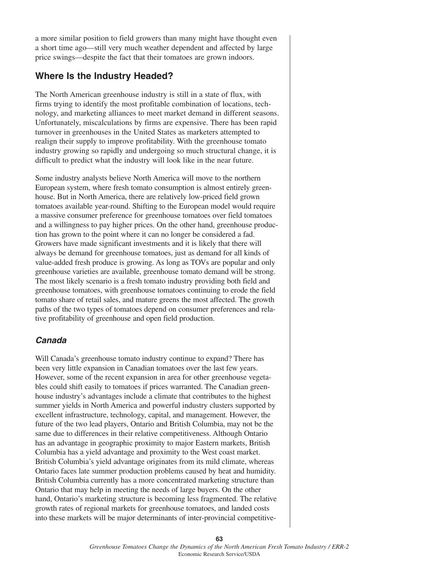a more similar position to field growers than many might have thought even a short time ago—still very much weather dependent and affected by large price swings—despite the fact that their tomatoes are grown indoors.

## **Where Is the Industry Headed?**

The North American greenhouse industry is still in a state of flux, with firms trying to identify the most profitable combination of locations, technology, and marketing alliances to meet market demand in different seasons. Unfortunately, miscalculations by firms are expensive. There has been rapid turnover in greenhouses in the United States as marketers attempted to realign their supply to improve profitability. With the greenhouse tomato industry growing so rapidly and undergoing so much structural change, it is difficult to predict what the industry will look like in the near future.

Some industry analysts believe North America will move to the northern European system, where fresh tomato consumption is almost entirely greenhouse. But in North America, there are relatively low-priced field grown tomatoes available year-round. Shifting to the European model would require a massive consumer preference for greenhouse tomatoes over field tomatoes and a willingness to pay higher prices. On the other hand, greenhouse production has grown to the point where it can no longer be considered a fad. Growers have made significant investments and it is likely that there will always be demand for greenhouse tomatoes, just as demand for all kinds of value-added fresh produce is growing. As long as TOVs are popular and only greenhouse varieties are available, greenhouse tomato demand will be strong. The most likely scenario is a fresh tomato industry providing both field and greenhouse tomatoes, with greenhouse tomatoes continuing to erode the field tomato share of retail sales, and mature greens the most affected. The growth paths of the two types of tomatoes depend on consumer preferences and relative profitability of greenhouse and open field production.

## **Canada**

Will Canada's greenhouse tomato industry continue to expand? There has been very little expansion in Canadian tomatoes over the last few years. However, some of the recent expansion in area for other greenhouse vegetables could shift easily to tomatoes if prices warranted. The Canadian greenhouse industry's advantages include a climate that contributes to the highest summer yields in North America and powerful industry clusters supported by excellent infrastructure, technology, capital, and management. However, the future of the two lead players, Ontario and British Columbia, may not be the same due to differences in their relative competitiveness. Although Ontario has an advantage in geographic proximity to major Eastern markets, British Columbia has a yield advantage and proximity to the West coast market. British Columbia's yield advantage originates from its mild climate, whereas Ontario faces late summer production problems caused by heat and humidity. British Columbia currently has a more concentrated marketing structure than Ontario that may help in meeting the needs of large buyers. On the other hand, Ontario's marketing structure is becoming less fragmented. The relative growth rates of regional markets for greenhouse tomatoes, and landed costs into these markets will be major determinants of inter-provincial competitive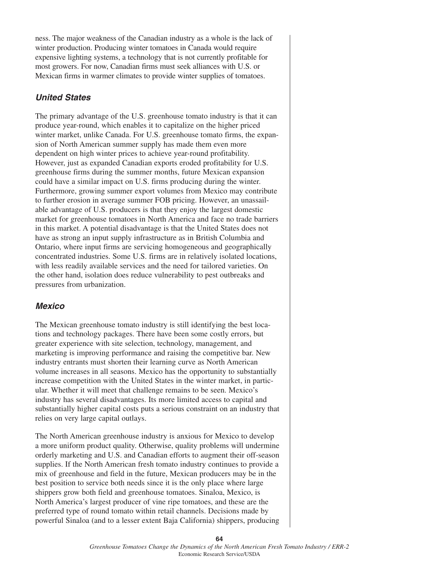ness. The major weakness of the Canadian industry as a whole is the lack of winter production. Producing winter tomatoes in Canada would require expensive lighting systems, a technology that is not currently profitable for most growers. For now, Canadian firms must seek alliances with U.S. or Mexican firms in warmer climates to provide winter supplies of tomatoes.

### **United States**

The primary advantage of the U.S. greenhouse tomato industry is that it can produce year-round, which enables it to capitalize on the higher priced winter market, unlike Canada. For U.S. greenhouse tomato firms, the expansion of North American summer supply has made them even more dependent on high winter prices to achieve year-round profitability. However, just as expanded Canadian exports eroded profitability for U.S. greenhouse firms during the summer months, future Mexican expansion could have a similar impact on U.S. firms producing during the winter. Furthermore, growing summer export volumes from Mexico may contribute to further erosion in average summer FOB pricing. However, an unassailable advantage of U.S. producers is that they enjoy the largest domestic market for greenhouse tomatoes in North America and face no trade barriers in this market. A potential disadvantage is that the United States does not have as strong an input supply infrastructure as in British Columbia and Ontario, where input firms are servicing homogeneous and geographically concentrated industries. Some U.S. firms are in relatively isolated locations, with less readily available services and the need for tailored varieties. On the other hand, isolation does reduce vulnerability to pest outbreaks and pressures from urbanization.

#### **Mexico**

The Mexican greenhouse tomato industry is still identifying the best locations and technology packages. There have been some costly errors, but greater experience with site selection, technology, management, and marketing is improving performance and raising the competitive bar. New industry entrants must shorten their learning curve as North American volume increases in all seasons. Mexico has the opportunity to substantially increase competition with the United States in the winter market, in particular. Whether it will meet that challenge remains to be seen. Mexico's industry has several disadvantages. Its more limited access to capital and substantially higher capital costs puts a serious constraint on an industry that relies on very large capital outlays.

The North American greenhouse industry is anxious for Mexico to develop a more uniform product quality. Otherwise, quality problems will undermine orderly marketing and U.S. and Canadian efforts to augment their off-season supplies. If the North American fresh tomato industry continues to provide a mix of greenhouse and field in the future, Mexican producers may be in the best position to service both needs since it is the only place where large shippers grow both field and greenhouse tomatoes. Sinaloa, Mexico, is North America's largest producer of vine ripe tomatoes, and these are the preferred type of round tomato within retail channels. Decisions made by powerful Sinaloa (and to a lesser extent Baja California) shippers, producing